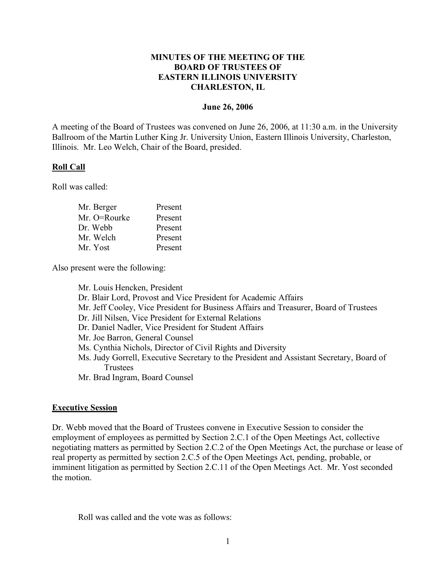## **MINUTES OF THE MEETING OF THE BOARD OF TRUSTEES OF EASTERN ILLINOIS UNIVERSITY CHARLESTON, IL**

### **June 26, 2006**

A meeting of the Board of Trustees was convened on June 26, 2006, at 11:30 a.m. in the University Ballroom of the Martin Luther King Jr. University Union, Eastern Illinois University, Charleston, Illinois. Mr. Leo Welch, Chair of the Board, presided.

## **Roll Call**

Roll was called:

| Mr. Berger   | Present |
|--------------|---------|
| Mr. O=Rourke | Present |
| Dr. Webb     | Present |
| Mr. Welch    | Present |
| Mr. Yost     | Present |

Also present were the following:

Mr. Louis Hencken, President Dr. Blair Lord, Provost and Vice President for Academic Affairs Mr. Jeff Cooley, Vice President for Business Affairs and Treasurer, Board of Trustees Dr. Jill Nilsen, Vice President for External Relations Dr. Daniel Nadler, Vice President for Student Affairs Mr. Joe Barron, General Counsel Ms. Cynthia Nichols, Director of Civil Rights and Diversity Ms. Judy Gorrell, Executive Secretary to the President and Assistant Secretary, Board of **Trustees** Mr. Brad Ingram, Board Counsel

### **Executive Session**

Dr. Webb moved that the Board of Trustees convene in Executive Session to consider the employment of employees as permitted by Section 2.C.1 of the Open Meetings Act, collective negotiating matters as permitted by Section 2.C.2 of the Open Meetings Act, the purchase or lease of real property as permitted by section 2.C.5 of the Open Meetings Act, pending, probable, or imminent litigation as permitted by Section 2.C.11 of the Open Meetings Act. Mr. Yost seconded the motion.

Roll was called and the vote was as follows: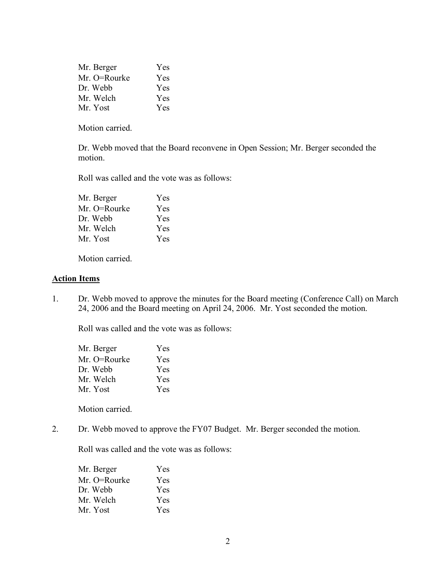| Mr. Berger   | Yes |
|--------------|-----|
| Mr. O=Rourke | Yes |
| Dr. Webb     | Yes |
| Mr. Welch    | Yes |
| Mr. Yost     | Yes |

Motion carried.

Dr. Webb moved that the Board reconvene in Open Session; Mr. Berger seconded the motion.

Roll was called and the vote was as follows:

| Yes        |
|------------|
| Yes        |
| <b>Yes</b> |
| Yes        |
| Yes        |
|            |

Motion carried.

### **Action Items**

1. Dr. Webb moved to approve the minutes for the Board meeting (Conference Call) on March 24, 2006 and the Board meeting on April 24, 2006. Mr. Yost seconded the motion.

Roll was called and the vote was as follows:

| Mr. Berger   | <b>Yes</b> |
|--------------|------------|
| Mr. O=Rourke | <b>Yes</b> |
| Dr. Webb     | Yes        |
| Mr. Welch    | Yes        |
| Mr. Yost     | Yes        |

Motion carried.

2. Dr. Webb moved to approve the FY07 Budget. Mr. Berger seconded the motion.

Roll was called and the vote was as follows:

| Mr. Berger   | Yes |
|--------------|-----|
| Mr. O=Rourke | Yes |
| Dr. Webb     | Yes |
| Mr. Welch    | Yes |
| Mr. Yost     | Yes |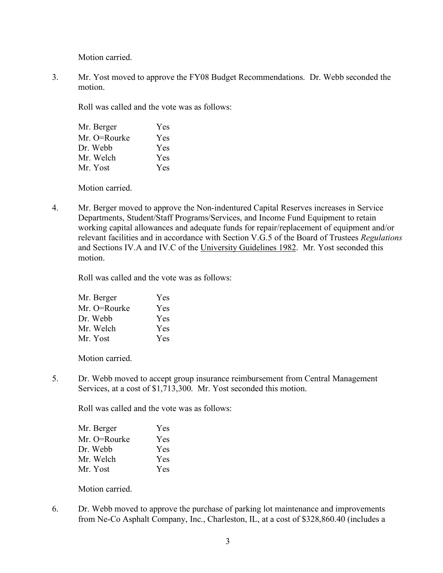Motion carried.

3. Mr. Yost moved to approve the FY08 Budget Recommendations. Dr. Webb seconded the motion.

Roll was called and the vote was as follows:

| Mr. Berger   | Yes |
|--------------|-----|
| Mr. O=Rourke | Yes |
| Dr. Webb     | Yes |
| Mr. Welch    | Yes |
| Mr. Yost     | Yes |

Motion carried.

4. Mr. Berger moved to approve the Non-indentured Capital Reserves increases in Service Departments, Student/Staff Programs/Services, and Income Fund Equipment to retain working capital allowances and adequate funds for repair/replacement of equipment and/or relevant facilities and in accordance with Section V.G.5 of the Board of Trustees *Regulations* and Sections IV.A and IV.C of the University Guidelines 1982. Mr. Yost seconded this motion.

Roll was called and the vote was as follows:

| Mr. Berger   | Yes |
|--------------|-----|
| Mr. O=Rourke | Yes |
| Dr. Webb     | Yes |
| Mr. Welch    | Yes |
| Mr. Yost     | Yes |

Motion carried.

5. Dr. Webb moved to accept group insurance reimbursement from Central Management Services, at a cost of \$1,713,300. Mr. Yost seconded this motion.

Roll was called and the vote was as follows:

| Mr. Berger   | Yes |
|--------------|-----|
| Mr. O=Rourke | Yes |
| Dr. Webb     | Yes |
| Mr. Welch    | Yes |
| Mr. Yost     | Yes |

Motion carried.

6. Dr. Webb moved to approve the purchase of parking lot maintenance and improvements from Ne-Co Asphalt Company, Inc., Charleston, IL, at a cost of \$328,860.40 (includes a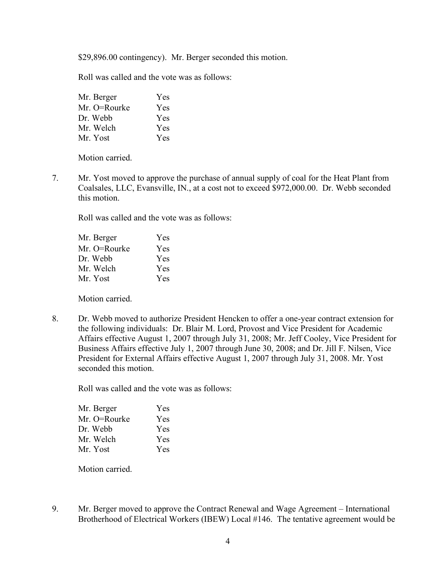\$29,896.00 contingency). Mr. Berger seconded this motion.

Roll was called and the vote was as follows:

| Mr. Berger   | Yes        |
|--------------|------------|
| Mr. O=Rourke | Yes        |
| Dr. Webb     | <b>Yes</b> |
| Mr. Welch    | Yes        |
| Mr. Yost     | <b>Yes</b> |

Motion carried.

7. Mr. Yost moved to approve the purchase of annual supply of coal for the Heat Plant from Coalsales, LLC, Evansville, IN., at a cost not to exceed \$972,000.00. Dr. Webb seconded this motion.

Roll was called and the vote was as follows:

| Mr. Berger   | Yes |
|--------------|-----|
| Mr. O=Rourke | Yes |
| Dr. Webb     | Yes |
| Mr. Welch    | Yes |
| Mr. Yost     | Yes |

Motion carried.

8. Dr. Webb moved to authorize President Hencken to offer a one-year contract extension for the following individuals: Dr. Blair M. Lord, Provost and Vice President for Academic Affairs effective August 1, 2007 through July 31, 2008; Mr. Jeff Cooley, Vice President for Business Affairs effective July 1, 2007 through June 30, 2008; and Dr. Jill F. Nilsen, Vice President for External Affairs effective August 1, 2007 through July 31, 2008. Mr. Yost seconded this motion.

Roll was called and the vote was as follows:

| Mr. Berger   | Yes |
|--------------|-----|
| Mr. O=Rourke | Yes |
| Dr. Webb     | Yes |
| Mr. Welch    | Yes |
| Mr. Yost     | Yes |

Motion carried.

9. Mr. Berger moved to approve the Contract Renewal and Wage Agreement – International Brotherhood of Electrical Workers (IBEW) Local #146. The tentative agreement would be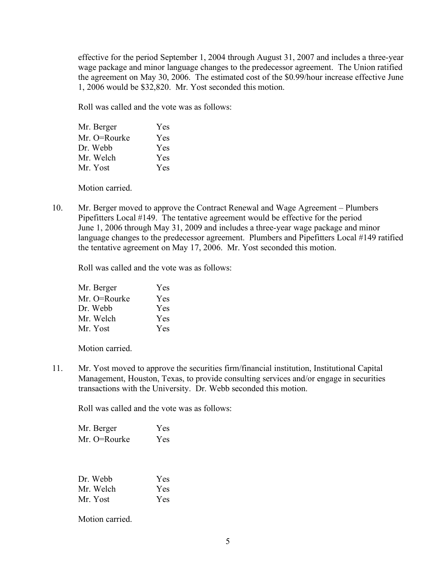effective for the period September 1, 2004 through August 31, 2007 and includes a three-year wage package and minor language changes to the predecessor agreement. The Union ratified the agreement on May 30, 2006. The estimated cost of the \$0.99/hour increase effective June 1, 2006 would be \$32,820. Mr. Yost seconded this motion.

Roll was called and the vote was as follows:

| Mr. Berger   | Yes |
|--------------|-----|
| Mr. O=Rourke | Yes |
| Dr. Webb     | Yes |
| Mr. Welch    | Yes |
| Mr. Yost     | Yes |

Motion carried.

10. Mr. Berger moved to approve the Contract Renewal and Wage Agreement – Plumbers Pipefitters Local #149. The tentative agreement would be effective for the period June 1, 2006 through May 31, 2009 and includes a three-year wage package and minor language changes to the predecessor agreement. Plumbers and Pipefitters Local #149 ratified the tentative agreement on May 17, 2006. Mr. Yost seconded this motion.

Roll was called and the vote was as follows:

| Mr. Berger   | Yes        |
|--------------|------------|
| Mr. O=Rourke | Yes        |
| Dr. Webb     | Yes        |
| Mr. Welch    | Yes        |
| Mr. Yost     | <b>Yes</b> |

Motion carried.

11. Mr. Yost moved to approve the securities firm/financial institution, Institutional Capital Management, Houston, Texas, to provide consulting services and/or engage in securities transactions with the University. Dr. Webb seconded this motion.

Roll was called and the vote was as follows:

| Mr. Berger   | Yes |
|--------------|-----|
| Mr. O=Rourke | Yes |

| Dr. Webb  | Yes |
|-----------|-----|
| Mr. Welch | Yes |
| Mr. Yost  | Yes |

Motion carried.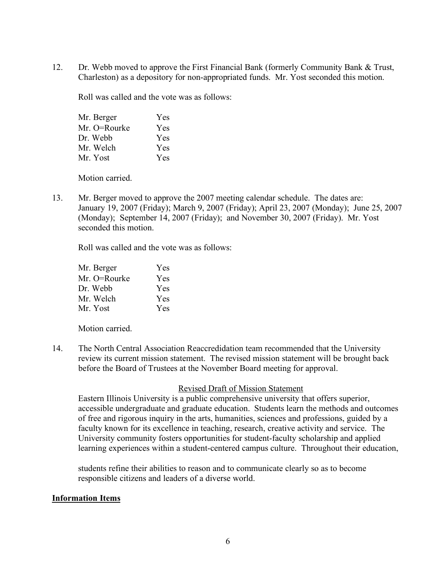12. Dr. Webb moved to approve the First Financial Bank (formerly Community Bank & Trust, Charleston) as a depository for non-appropriated funds. Mr. Yost seconded this motion.

Roll was called and the vote was as follows:

| Mr. Berger   | Yes |
|--------------|-----|
| Mr. O=Rourke | Yes |
| Dr. Webb     | Yes |
| Mr. Welch    | Yes |
| Mr. Yost     | Yes |

Motion carried.

13. Mr. Berger moved to approve the 2007 meeting calendar schedule. The dates are: January 19, 2007 (Friday); March 9, 2007 (Friday); April 23, 2007 (Monday); June 25, 2007 (Monday); September 14, 2007 (Friday); and November 30, 2007 (Friday). Mr. Yost seconded this motion.

Roll was called and the vote was as follows:

| Mr. Berger   | Yes        |
|--------------|------------|
| Mr. O=Rourke | Yes        |
| Dr. Webb     | Yes        |
| Mr. Welch    | Yes        |
| Mr. Yost     | <b>Yes</b> |

Motion carried.

14. The North Central Association Reaccredidation team recommended that the University review its current mission statement. The revised mission statement will be brought back before the Board of Trustees at the November Board meeting for approval.

### Revised Draft of Mission Statement

Eastern Illinois University is a public comprehensive university that offers superior, accessible undergraduate and graduate education. Students learn the methods and outcomes of free and rigorous inquiry in the arts, humanities, sciences and professions, guided by a faculty known for its excellence in teaching, research, creative activity and service. The University community fosters opportunities for student-faculty scholarship and applied learning experiences within a student-centered campus culture. Throughout their education,

students refine their abilities to reason and to communicate clearly so as to become responsible citizens and leaders of a diverse world.

#### **Information Items**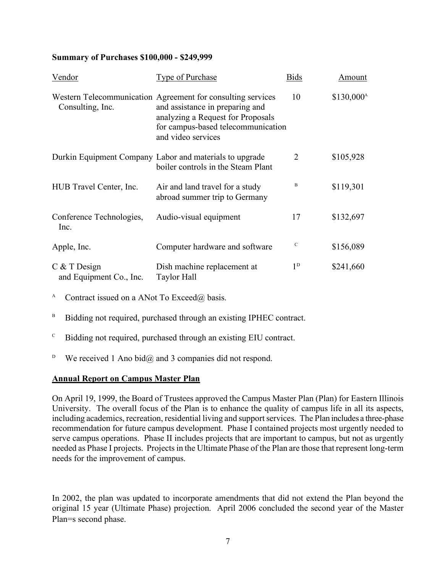### **Summary of Purchases \$100,000 - \$249,999**

| Vendor                                    | <b>Type of Purchase</b>                                                                                                                                                                         | <b>Bids</b>    | Amount                |
|-------------------------------------------|-------------------------------------------------------------------------------------------------------------------------------------------------------------------------------------------------|----------------|-----------------------|
| Consulting, Inc.                          | Western Telecommunication Agreement for consulting services<br>and assistance in preparing and<br>analyzing a Request for Proposals<br>for campus-based telecommunication<br>and video services | 10             | $$130,000^{\text{A}}$ |
|                                           | Durkin Equipment Company Labor and materials to upgrade<br>boiler controls in the Steam Plant                                                                                                   | $\overline{2}$ | \$105,928             |
| HUB Travel Center, Inc.                   | Air and land travel for a study<br>abroad summer trip to Germany                                                                                                                                | B              | \$119,301             |
| Conference Technologies,<br>Inc.          | Audio-visual equipment                                                                                                                                                                          | 17             | \$132,697             |
| Apple, Inc.                               | Computer hardware and software                                                                                                                                                                  | $\mathcal{C}$  | \$156,089             |
| $C$ & T Design<br>and Equipment Co., Inc. | Dish machine replacement at<br><b>Taylor Hall</b>                                                                                                                                               | $1^{\rm D}$    | \$241,660             |

A Contract issued on a ANot To Exceed $\omega$  basis.

B Bidding not required, purchased through an existing IPHEC contract.

- $C$  Bidding not required, purchased through an existing EIU contract.
- <sup>D</sup> We received 1 Ano bid $\omega$  and 3 companies did not respond.

# **Annual Report on Campus Master Plan**

On April 19, 1999, the Board of Trustees approved the Campus Master Plan (Plan) for Eastern Illinois University. The overall focus of the Plan is to enhance the quality of campus life in all its aspects, including academics, recreation, residential living and support services. The Plan includes a three-phase recommendation for future campus development. Phase I contained projects most urgently needed to serve campus operations. Phase II includes projects that are important to campus, but not as urgently needed as Phase I projects. Projects in the Ultimate Phase of the Plan are those that represent long-term needs for the improvement of campus.

In 2002, the plan was updated to incorporate amendments that did not extend the Plan beyond the original 15 year (Ultimate Phase) projection. April 2006 concluded the second year of the Master Plan=s second phase.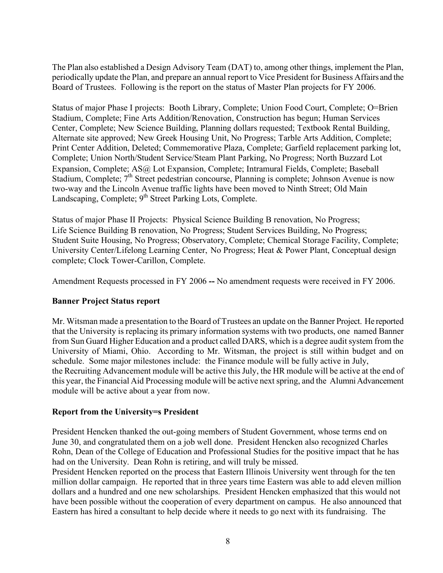The Plan also established a Design Advisory Team (DAT) to, among other things, implement the Plan, periodically update the Plan, and prepare an annual report to Vice President for Business Affairs and the Board of Trustees. Following is the report on the status of Master Plan projects for FY 2006.

Status of major Phase I projects: Booth Library, Complete; Union Food Court, Complete; O=Brien Stadium, Complete; Fine Arts Addition/Renovation, Construction has begun; Human Services Center, Complete; New Science Building, Planning dollars requested; Textbook Rental Building, Alternate site approved; New Greek Housing Unit, No Progress; Tarble Arts Addition, Complete; Print Center Addition, Deleted; Commemorative Plaza, Complete; Garfield replacement parking lot, Complete; Union North/Student Service/Steam Plant Parking, No Progress; North Buzzard Lot Expansion, Complete; AS@ Lot Expansion, Complete; Intramural Fields, Complete; Baseball Stadium, Complete; 7<sup>th</sup> Street pedestrian concourse, Planning is complete; Johnson Avenue is now two-way and the Lincoln Avenue traffic lights have been moved to Ninth Street; Old Main Landscaping, Complete; 9<sup>th</sup> Street Parking Lots, Complete.

Status of major Phase II Projects: Physical Science Building B renovation, No Progress; Life Science Building B renovation, No Progress; Student Services Building, No Progress; Student Suite Housing, No Progress; Observatory, Complete; Chemical Storage Facility, Complete; University Center/Lifelong Learning Center, No Progress; Heat & Power Plant, Conceptual design complete; Clock Tower-Carillon, Complete.

Amendment Requests processed in FY 2006 **--** No amendment requests were received in FY 2006.

# **Banner Project Status report**

Mr. Witsman made a presentation to the Board of Trustees an update on the Banner Project. He reported that the University is replacing its primary information systems with two products, one named Banner from Sun Guard Higher Education and a product called DARS, which is a degree audit system from the University of Miami, Ohio. According to Mr. Witsman, the project is still within budget and on schedule. Some major milestones include: the Finance module will be fully active in July, the Recruiting Advancement module will be active this July, the HR module will be active at the end of this year, the Financial Aid Processing module will be active next spring, and the Alumni Advancement module will be active about a year from now.

# **Report from the University=s President**

President Hencken thanked the out-going members of Student Government, whose terms end on June 30, and congratulated them on a job well done. President Hencken also recognized Charles Rohn, Dean of the College of Education and Professional Studies for the positive impact that he has had on the University. Dean Rohn is retiring, and will truly be missed.

President Hencken reported on the process that Eastern Illinois University went through for the ten million dollar campaign. He reported that in three years time Eastern was able to add eleven million dollars and a hundred and one new scholarships. President Hencken emphasized that this would not have been possible without the cooperation of every department on campus. He also announced that Eastern has hired a consultant to help decide where it needs to go next with its fundraising. The